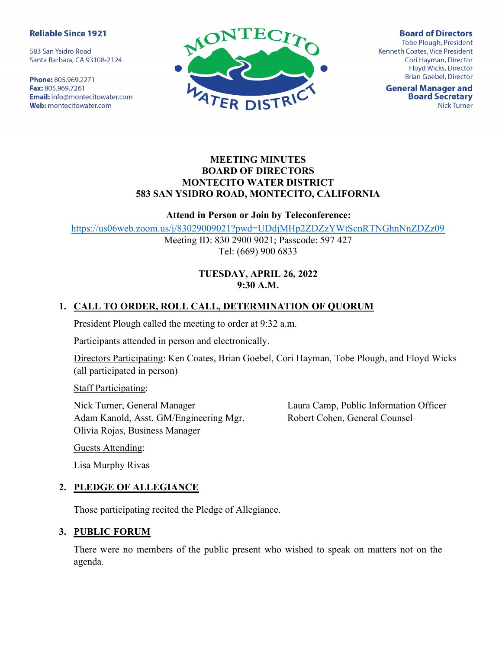#### **Reliable Since 1921**

583 San Ysidro Road Santa Barbara, CA 93108-2124

Phone: 805.969.2271 Fax: 805.969.7261 **Email:** info@montecitowater.com Web: montecitowater.com



**Board of Directors** Tobe Plough, President Kenneth Coates, Vice President Cori Hayman, Director Floyd Wicks, Director **Brian Goebel, Director** 

**General Manager and Board Secretary Nick Turner** 

#### MEETING MINUTES BOARD OF DIRECTORS MONTECITO WATER DISTRICT 583 SAN YSIDRO ROAD, MONTECITO, CALIFORNIA

#### Attend in Person or Join by Teleconference:

https://us06web.zoom.us/j/83029009021?pwd=UDdjMHp2ZDZzYWtScnRTNGhnNnZDZz09

Meeting ID: 830 2900 9021; Passcode: 597 427 Tel: (669) 900 6833

#### TUESDAY, APRIL 26, 2022 9:30 A.M.

## 1. CALL TO ORDER, ROLL CALL, DETERMINATION OF QUORUM

President Plough called the meeting to order at 9:32 a.m.

Participants attended in person and electronically.

Directors Participating: Ken Coates, Brian Goebel, Cori Hayman, Tobe Plough, and Floyd Wicks (all participated in person)

Staff Participating:

Nick Turner, General Manager Adam Kanold, Asst. GM/Engineering Mgr. Olivia Rojas, Business Manager

Laura Camp, Public Information Officer Robert Cohen, General Counsel

Guests Attending:

Lisa Murphy Rivas

### 2. PLEDGE OF ALLEGIANCE

Those participating recited the Pledge of Allegiance.

#### 3. PUBLIC FORUM

There were no members of the public present who wished to speak on matters not on the agenda.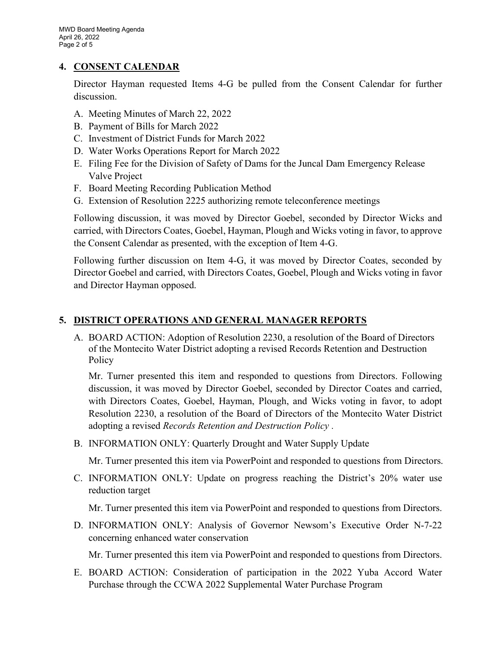#### 4. CONSENT CALENDAR

Director Hayman requested Items 4-G be pulled from the Consent Calendar for further discussion.

- A. Meeting Minutes of March 22, 2022
- B. Payment of Bills for March 2022
- C. Investment of District Funds for March 2022
- D. Water Works Operations Report for March 2022
- E. Filing Fee for the Division of Safety of Dams for the Juncal Dam Emergency Release Valve Project
- F. Board Meeting Recording Publication Method
- G. Extension of Resolution 2225 authorizing remote teleconference meetings

Following discussion, it was moved by Director Goebel, seconded by Director Wicks and carried, with Directors Coates, Goebel, Hayman, Plough and Wicks voting in favor, to approve the Consent Calendar as presented, with the exception of Item 4-G.

Following further discussion on Item 4-G, it was moved by Director Coates, seconded by Director Goebel and carried, with Directors Coates, Goebel, Plough and Wicks voting in favor and Director Hayman opposed.

## 5. DISTRICT OPERATIONS AND GENERAL MANAGER REPORTS

A. BOARD ACTION: Adoption of Resolution 2230, a resolution of the Board of Directors of the Montecito Water District adopting a revised Records Retention and Destruction Policy

Mr. Turner presented this item and responded to questions from Directors. Following discussion, it was moved by Director Goebel, seconded by Director Coates and carried, with Directors Coates, Goebel, Hayman, Plough, and Wicks voting in favor, to adopt Resolution 2230, a resolution of the Board of Directors of the Montecito Water District adopting a revised Records Retention and Destruction Policy .

B. INFORMATION ONLY: Quarterly Drought and Water Supply Update

Mr. Turner presented this item via PowerPoint and responded to questions from Directors.

C. INFORMATION ONLY: Update on progress reaching the District's 20% water use reduction target

Mr. Turner presented this item via PowerPoint and responded to questions from Directors.

D. INFORMATION ONLY: Analysis of Governor Newsom's Executive Order N-7-22 concerning enhanced water conservation

Mr. Turner presented this item via PowerPoint and responded to questions from Directors.

E. BOARD ACTION: Consideration of participation in the 2022 Yuba Accord Water Purchase through the CCWA 2022 Supplemental Water Purchase Program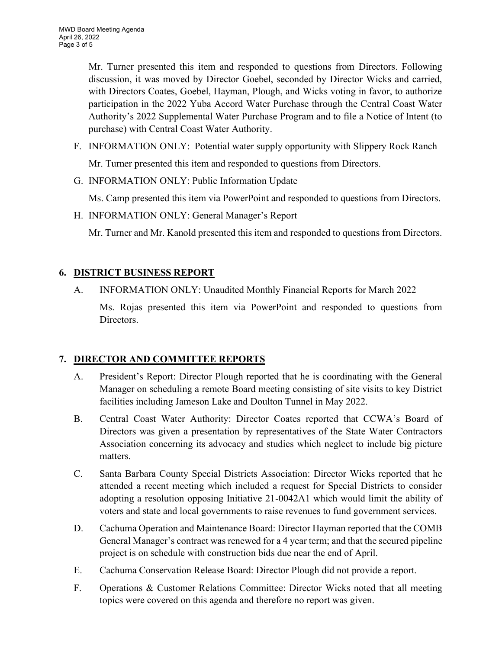Mr. Turner presented this item and responded to questions from Directors. Following discussion, it was moved by Director Goebel, seconded by Director Wicks and carried, with Directors Coates, Goebel, Hayman, Plough, and Wicks voting in favor, to authorize participation in the 2022 Yuba Accord Water Purchase through the Central Coast Water Authority's 2022 Supplemental Water Purchase Program and to file a Notice of Intent (to purchase) with Central Coast Water Authority.

- F. INFORMATION ONLY: Potential water supply opportunity with Slippery Rock Ranch Mr. Turner presented this item and responded to questions from Directors.
- G. INFORMATION ONLY: Public Information Update

Ms. Camp presented this item via PowerPoint and responded to questions from Directors.

H. INFORMATION ONLY: General Manager's Report

Mr. Turner and Mr. Kanold presented this item and responded to questions from Directors.

# 6. DISTRICT BUSINESS REPORT

A. INFORMATION ONLY: Unaudited Monthly Financial Reports for March 2022

Ms. Rojas presented this item via PowerPoint and responded to questions from Directors.

# 7. DIRECTOR AND COMMITTEE REPORTS

- A. President's Report: Director Plough reported that he is coordinating with the General Manager on scheduling a remote Board meeting consisting of site visits to key District facilities including Jameson Lake and Doulton Tunnel in May 2022.
- B. Central Coast Water Authority: Director Coates reported that CCWA's Board of Directors was given a presentation by representatives of the State Water Contractors Association concerning its advocacy and studies which neglect to include big picture matters.
- C. Santa Barbara County Special Districts Association: Director Wicks reported that he attended a recent meeting which included a request for Special Districts to consider adopting a resolution opposing Initiative 21-0042A1 which would limit the ability of voters and state and local governments to raise revenues to fund government services.
- D. Cachuma Operation and Maintenance Board: Director Hayman reported that the COMB General Manager's contract was renewed for a 4 year term; and that the secured pipeline project is on schedule with construction bids due near the end of April.
- E. Cachuma Conservation Release Board: Director Plough did not provide a report.
- F. Operations & Customer Relations Committee: Director Wicks noted that all meeting topics were covered on this agenda and therefore no report was given.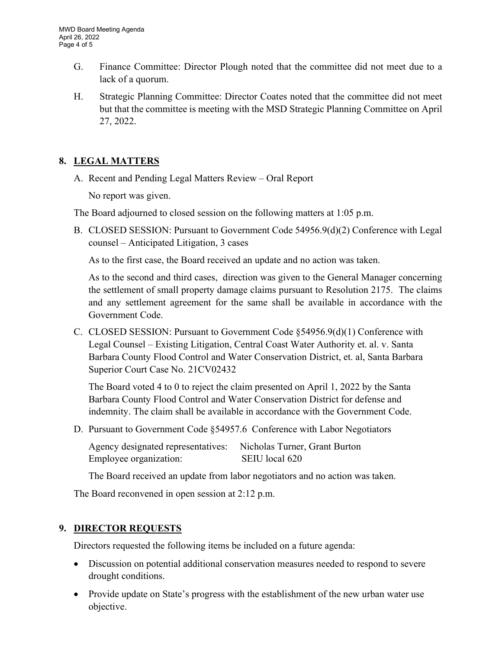- G. Finance Committee: Director Plough noted that the committee did not meet due to a lack of a quorum.
- H. Strategic Planning Committee: Director Coates noted that the committee did not meet but that the committee is meeting with the MSD Strategic Planning Committee on April 27, 2022.

## 8. LEGAL MATTERS

A. Recent and Pending Legal Matters Review – Oral Report

No report was given.

The Board adjourned to closed session on the following matters at 1:05 p.m.

B. CLOSED SESSION: Pursuant to Government Code 54956.9(d)(2) Conference with Legal counsel – Anticipated Litigation, 3 cases

As to the first case, the Board received an update and no action was taken.

As to the second and third cases, direction was given to the General Manager concerning the settlement of small property damage claims pursuant to Resolution 2175. The claims and any settlement agreement for the same shall be available in accordance with the Government Code.

C. CLOSED SESSION: Pursuant to Government Code §54956.9(d)(1) Conference with Legal Counsel – Existing Litigation, Central Coast Water Authority et. al. v. Santa Barbara County Flood Control and Water Conservation District, et. al, Santa Barbara Superior Court Case No. 21CV02432

The Board voted 4 to 0 to reject the claim presented on April 1, 2022 by the Santa Barbara County Flood Control and Water Conservation District for defense and indemnity. The claim shall be available in accordance with the Government Code.

D. Pursuant to Government Code §54957.6 Conference with Labor Negotiators

Agency designated representatives: Nicholas Turner, Grant Burton Employee organization: SEIU local 620

The Board received an update from labor negotiators and no action was taken.

The Board reconvened in open session at 2:12 p.m.

### 9. DIRECTOR REQUESTS

Directors requested the following items be included on a future agenda:

- Discussion on potential additional conservation measures needed to respond to severe drought conditions.
- Provide update on State's progress with the establishment of the new urban water use objective.